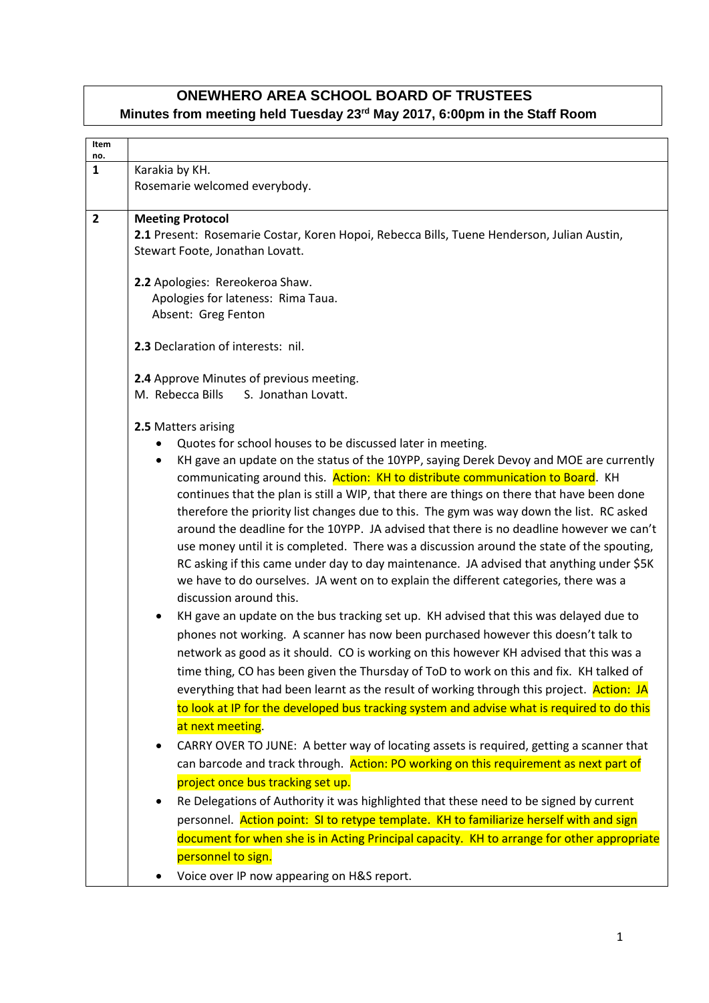# **ONEWHERO AREA SCHOOL BOARD OF TRUSTEES Minutes from meeting held Tuesday 23rd May 2017, 6:00pm in the Staff Room**

| Item<br>no.    |                                                                                                                                                                              |  |  |
|----------------|------------------------------------------------------------------------------------------------------------------------------------------------------------------------------|--|--|
| $\mathbf{1}$   | Karakia by KH.                                                                                                                                                               |  |  |
|                | Rosemarie welcomed everybody.                                                                                                                                                |  |  |
| $\overline{2}$ | <b>Meeting Protocol</b>                                                                                                                                                      |  |  |
|                | 2.1 Present: Rosemarie Costar, Koren Hopoi, Rebecca Bills, Tuene Henderson, Julian Austin,                                                                                   |  |  |
|                | Stewart Foote, Jonathan Lovatt.                                                                                                                                              |  |  |
|                | 2.2 Apologies: Rereokeroa Shaw.                                                                                                                                              |  |  |
|                | Apologies for lateness: Rima Taua.                                                                                                                                           |  |  |
|                | Absent: Greg Fenton                                                                                                                                                          |  |  |
|                | 2.3 Declaration of interests: nil.                                                                                                                                           |  |  |
|                |                                                                                                                                                                              |  |  |
|                | 2.4 Approve Minutes of previous meeting.<br>M. Rebecca Bills<br>S. Jonathan Lovatt.                                                                                          |  |  |
|                |                                                                                                                                                                              |  |  |
|                | 2.5 Matters arising                                                                                                                                                          |  |  |
|                | Quotes for school houses to be discussed later in meeting.                                                                                                                   |  |  |
|                | KH gave an update on the status of the 10YPP, saying Derek Devoy and MOE are currently<br>$\bullet$                                                                          |  |  |
|                | communicating around this. Action: KH to distribute communication to Board. KH<br>continues that the plan is still a WIP, that there are things on there that have been done |  |  |
|                | therefore the priority list changes due to this. The gym was way down the list. RC asked                                                                                     |  |  |
|                | around the deadline for the 10YPP. JA advised that there is no deadline however we can't                                                                                     |  |  |
|                | use money until it is completed. There was a discussion around the state of the spouting,                                                                                    |  |  |
|                | RC asking if this came under day to day maintenance. JA advised that anything under \$5K                                                                                     |  |  |
|                | we have to do ourselves. JA went on to explain the different categories, there was a                                                                                         |  |  |
|                | discussion around this.                                                                                                                                                      |  |  |
|                | KH gave an update on the bus tracking set up. KH advised that this was delayed due to<br>$\bullet$                                                                           |  |  |
|                | phones not working. A scanner has now been purchased however this doesn't talk to                                                                                            |  |  |
|                | network as good as it should. CO is working on this however KH advised that this was a                                                                                       |  |  |
|                | time thing, CO has been given the Thursday of ToD to work on this and fix. KH talked of                                                                                      |  |  |
|                | everything that had been learnt as the result of working through this project. Action: JA                                                                                    |  |  |
|                | to look at IP for the developed bus tracking system and advise what is required to do this                                                                                   |  |  |
|                | at next meeting.                                                                                                                                                             |  |  |
|                | CARRY OVER TO JUNE: A better way of locating assets is required, getting a scanner that<br>$\bullet$                                                                         |  |  |
|                | can barcode and track through. Action: PO working on this requirement as next part of                                                                                        |  |  |
|                | project once bus tracking set up.                                                                                                                                            |  |  |
|                | Re Delegations of Authority it was highlighted that these need to be signed by current<br>$\bullet$                                                                          |  |  |
|                | personnel. Action point: SI to retype template. KH to familiarize herself with and sign                                                                                      |  |  |
|                | document for when she is in Acting Principal capacity. KH to arrange for other appropriate                                                                                   |  |  |
|                | personnel to sign.                                                                                                                                                           |  |  |
|                | Voice over IP now appearing on H&S report.<br>$\bullet$                                                                                                                      |  |  |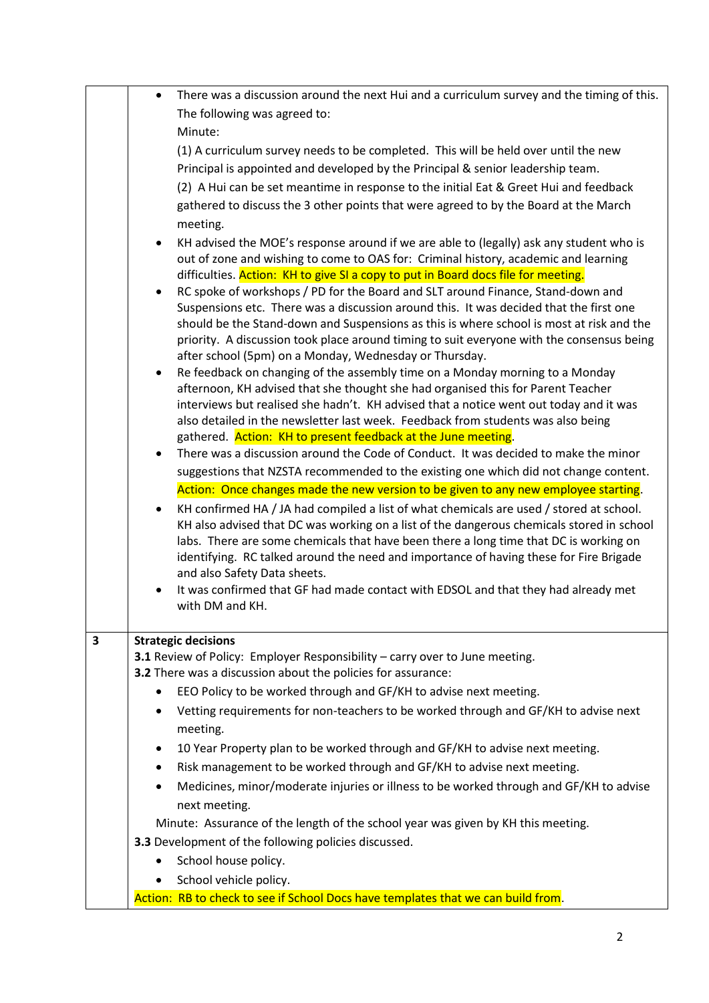|   | $\bullet$ | There was a discussion around the next Hui and a curriculum survey and the timing of this.                                                                                 |
|---|-----------|----------------------------------------------------------------------------------------------------------------------------------------------------------------------------|
|   |           | The following was agreed to:                                                                                                                                               |
|   |           | Minute:                                                                                                                                                                    |
|   |           |                                                                                                                                                                            |
|   |           | (1) A curriculum survey needs to be completed. This will be held over until the new                                                                                        |
|   |           | Principal is appointed and developed by the Principal & senior leadership team.                                                                                            |
|   |           | (2) A Hui can be set meantime in response to the initial Eat & Greet Hui and feedback                                                                                      |
|   |           | gathered to discuss the 3 other points that were agreed to by the Board at the March                                                                                       |
|   |           | meeting.                                                                                                                                                                   |
|   |           | KH advised the MOE's response around if we are able to (legally) ask any student who is                                                                                    |
|   |           | out of zone and wishing to come to OAS for: Criminal history, academic and learning<br>difficulties. Action: KH to give SI a copy to put in Board docs file for meeting.   |
|   |           | RC spoke of workshops / PD for the Board and SLT around Finance, Stand-down and                                                                                            |
|   |           | Suspensions etc. There was a discussion around this. It was decided that the first one                                                                                     |
|   |           | should be the Stand-down and Suspensions as this is where school is most at risk and the                                                                                   |
|   |           | priority. A discussion took place around timing to suit everyone with the consensus being                                                                                  |
|   |           | after school (5pm) on a Monday, Wednesday or Thursday.                                                                                                                     |
|   | ٠         | Re feedback on changing of the assembly time on a Monday morning to a Monday                                                                                               |
|   |           | afternoon, KH advised that she thought she had organised this for Parent Teacher                                                                                           |
|   |           | interviews but realised she hadn't. KH advised that a notice went out today and it was<br>also detailed in the newsletter last week. Feedback from students was also being |
|   |           | gathered. Action: KH to present feedback at the June meeting.                                                                                                              |
|   | $\bullet$ | There was a discussion around the Code of Conduct. It was decided to make the minor                                                                                        |
|   |           | suggestions that NZSTA recommended to the existing one which did not change content.                                                                                       |
|   |           | Action: Once changes made the new version to be given to any new employee starting.                                                                                        |
|   | $\bullet$ | KH confirmed HA / JA had compiled a list of what chemicals are used / stored at school.                                                                                    |
|   |           | KH also advised that DC was working on a list of the dangerous chemicals stored in school                                                                                  |
|   |           | labs. There are some chemicals that have been there a long time that DC is working on                                                                                      |
|   |           | identifying. RC talked around the need and importance of having these for Fire Brigade                                                                                     |
|   |           | and also Safety Data sheets.                                                                                                                                               |
|   |           | It was confirmed that GF had made contact with EDSOL and that they had already met<br>with DM and KH.                                                                      |
|   |           |                                                                                                                                                                            |
| 3 |           | <b>Strategic decisions</b>                                                                                                                                                 |
|   |           | 3.1 Review of Policy: Employer Responsibility - carry over to June meeting.                                                                                                |
|   |           | 3.2 There was a discussion about the policies for assurance:                                                                                                               |
|   |           | EEO Policy to be worked through and GF/KH to advise next meeting.                                                                                                          |
|   | ٠         | Vetting requirements for non-teachers to be worked through and GF/KH to advise next                                                                                        |
|   |           | meeting.                                                                                                                                                                   |
|   | ٠         | 10 Year Property plan to be worked through and GF/KH to advise next meeting.                                                                                               |
|   | $\bullet$ | Risk management to be worked through and GF/KH to advise next meeting.                                                                                                     |
|   |           | Medicines, minor/moderate injuries or illness to be worked through and GF/KH to advise                                                                                     |
|   |           | next meeting.                                                                                                                                                              |
|   |           | Minute: Assurance of the length of the school year was given by KH this meeting.                                                                                           |
|   |           | 3.3 Development of the following policies discussed.                                                                                                                       |
|   | ٠         | School house policy.                                                                                                                                                       |
|   | ٠         | School vehicle policy.                                                                                                                                                     |
|   |           | Action: RB to check to see if School Docs have templates that we can build from.                                                                                           |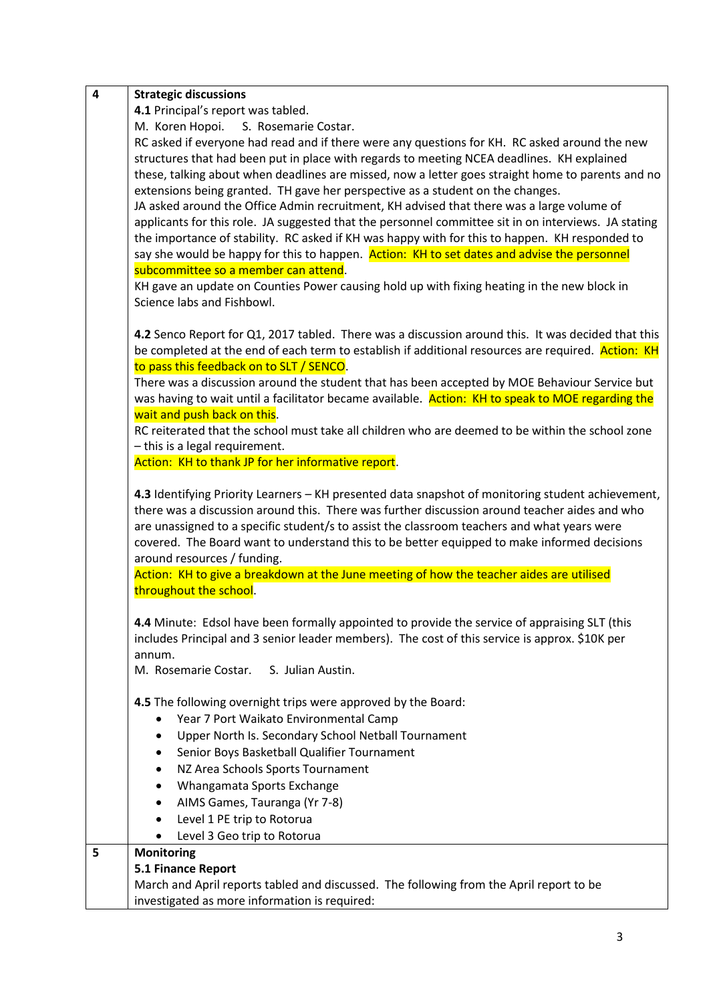| $\overline{\mathbf{4}}$ | <b>Strategic discussions</b>                                                                         |
|-------------------------|------------------------------------------------------------------------------------------------------|
|                         | 4.1 Principal's report was tabled.                                                                   |
|                         | M. Koren Hopoi.<br>S. Rosemarie Costar.                                                              |
|                         | RC asked if everyone had read and if there were any questions for KH. RC asked around the new        |
|                         | structures that had been put in place with regards to meeting NCEA deadlines. KH explained           |
|                         | these, talking about when deadlines are missed, now a letter goes straight home to parents and no    |
|                         | extensions being granted. TH gave her perspective as a student on the changes.                       |
|                         |                                                                                                      |
|                         | JA asked around the Office Admin recruitment, KH advised that there was a large volume of            |
|                         | applicants for this role. JA suggested that the personnel committee sit in on interviews. JA stating |
|                         | the importance of stability. RC asked if KH was happy with for this to happen. KH responded to       |
|                         | say she would be happy for this to happen. Action: KH to set dates and advise the personnel          |
|                         | subcommittee so a member can attend.                                                                 |
|                         | KH gave an update on Counties Power causing hold up with fixing heating in the new block in          |
|                         | Science labs and Fishbowl.                                                                           |
|                         | 4.2 Senco Report for Q1, 2017 tabled. There was a discussion around this. It was decided that this   |
|                         | be completed at the end of each term to establish if additional resources are required. Action: KH   |
|                         | to pass this feedback on to SLT / SENCO.                                                             |
|                         | There was a discussion around the student that has been accepted by MOE Behaviour Service but        |
|                         | was having to wait until a facilitator became available. Action: KH to speak to MOE regarding the    |
|                         | wait and push back on this.                                                                          |
|                         | RC reiterated that the school must take all children who are deemed to be within the school zone     |
|                         |                                                                                                      |
|                         | - this is a legal requirement.                                                                       |
|                         | Action: KH to thank JP for her informative report.                                                   |
|                         | 4.3 Identifying Priority Learners - KH presented data snapshot of monitoring student achievement,    |
|                         | there was a discussion around this. There was further discussion around teacher aides and who        |
|                         | are unassigned to a specific student/s to assist the classroom teachers and what years were          |
|                         | covered. The Board want to understand this to be better equipped to make informed decisions          |
|                         | around resources / funding.                                                                          |
|                         | Action: KH to give a breakdown at the June meeting of how the teacher aides are utilised             |
|                         | throughout the school.                                                                               |
|                         |                                                                                                      |
|                         | 4.4 Minute: Edsol have been formally appointed to provide the service of appraising SLT (this        |
|                         | includes Principal and 3 senior leader members). The cost of this service is approx. \$10K per       |
|                         | annum.                                                                                               |
|                         | S. Julian Austin.<br>M. Rosemarie Costar.                                                            |
|                         |                                                                                                      |
|                         | 4.5 The following overnight trips were approved by the Board:                                        |
|                         | Year 7 Port Waikato Environmental Camp<br>٠                                                          |
|                         | Upper North Is. Secondary School Netball Tournament<br>٠                                             |
|                         |                                                                                                      |
|                         | Senior Boys Basketball Qualifier Tournament<br>٠                                                     |
|                         | NZ Area Schools Sports Tournament<br>$\bullet$                                                       |
|                         | Whangamata Sports Exchange<br>$\bullet$                                                              |
|                         | AIMS Games, Tauranga (Yr 7-8)<br>٠                                                                   |
|                         | Level 1 PE trip to Rotorua                                                                           |
|                         | Level 3 Geo trip to Rotorua<br>$\bullet$                                                             |
| 5                       | <b>Monitoring</b>                                                                                    |
|                         | 5.1 Finance Report                                                                                   |
|                         | March and April reports tabled and discussed. The following from the April report to be              |
|                         | investigated as more information is required:                                                        |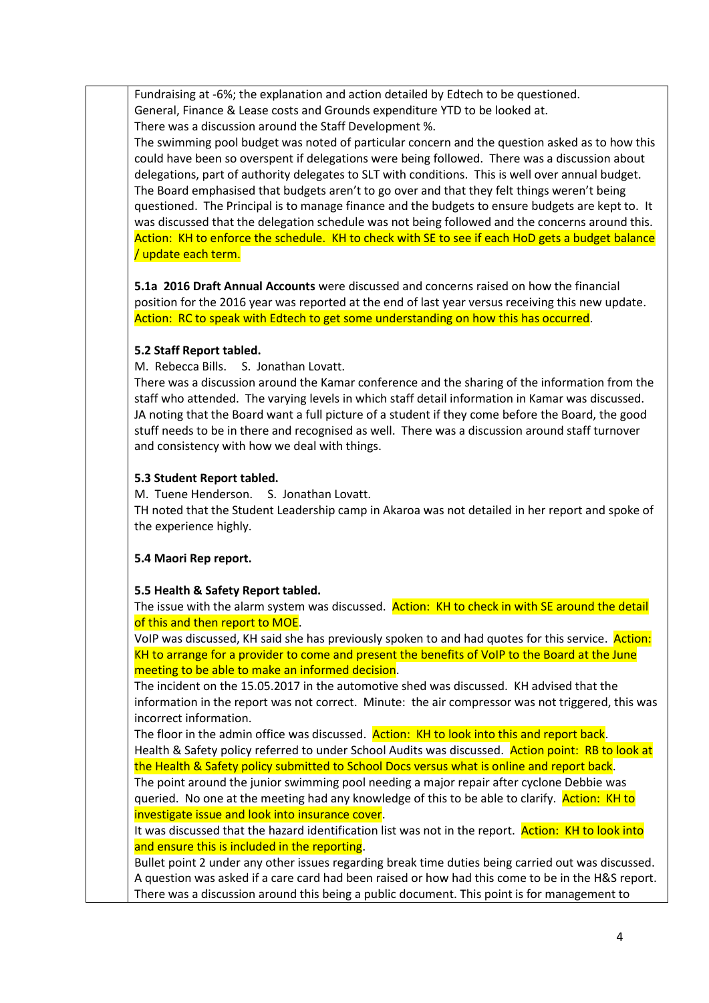Fundraising at -6%; the explanation and action detailed by Edtech to be questioned. General, Finance & Lease costs and Grounds expenditure YTD to be looked at. There was a discussion around the Staff Development %.

The swimming pool budget was noted of particular concern and the question asked as to how this could have been so overspent if delegations were being followed. There was a discussion about delegations, part of authority delegates to SLT with conditions. This is well over annual budget. The Board emphasised that budgets aren't to go over and that they felt things weren't being questioned. The Principal is to manage finance and the budgets to ensure budgets are kept to. It was discussed that the delegation schedule was not being followed and the concerns around this. Action: KH to enforce the schedule. KH to check with SE to see if each HoD gets a budget balance / update each term.

**5.1a 2016 Draft Annual Accounts** were discussed and concerns raised on how the financial position for the 2016 year was reported at the end of last year versus receiving this new update. Action: RC to speak with Edtech to get some understanding on how this has occurred.

### **5.2 Staff Report tabled.**

M. Rebecca Bills. S. Jonathan Lovatt.

There was a discussion around the Kamar conference and the sharing of the information from the staff who attended. The varying levels in which staff detail information in Kamar was discussed. JA noting that the Board want a full picture of a student if they come before the Board, the good stuff needs to be in there and recognised as well. There was a discussion around staff turnover and consistency with how we deal with things.

## **5.3 Student Report tabled.**

M. Tuene Henderson. S. Jonathan Lovatt. TH noted that the Student Leadership camp in Akaroa was not detailed in her report and spoke of the experience highly.

# **5.4 Maori Rep report.**

### **5.5 Health & Safety Report tabled.**

The issue with the alarm system was discussed. Action: KH to check in with SE around the detail of this and then report to MOE.

VoIP was discussed, KH said she has previously spoken to and had quotes for this service. Action: KH to arrange for a provider to come and present the benefits of VoIP to the Board at the June meeting to be able to make an informed decision.

The incident on the 15.05.2017 in the automotive shed was discussed. KH advised that the information in the report was not correct. Minute: the air compressor was not triggered, this was incorrect information.

The floor in the admin office was discussed. Action: KH to look into this and report back. Health & Safety policy referred to under School Audits was discussed. Action point: RB to look at the Health & Safety policy submitted to School Docs versus what is online and report back. The point around the junior swimming pool needing a major repair after cyclone Debbie was

queried. No one at the meeting had any knowledge of this to be able to clarify. Action: KH to investigate issue and look into insurance cover.

It was discussed that the hazard identification list was not in the report. Action: KH to look into and ensure this is included in the reporting.

Bullet point 2 under any other issues regarding break time duties being carried out was discussed. A question was asked if a care card had been raised or how had this come to be in the H&S report. There was a discussion around this being a public document. This point is for management to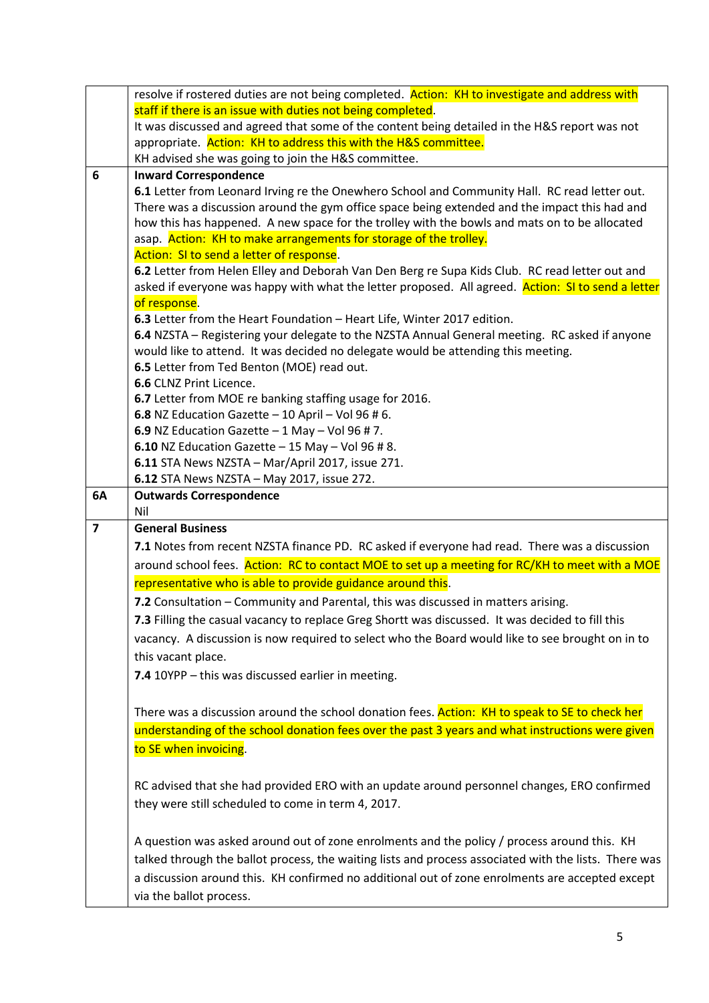|                | resolve if rostered duties are not being completed. Action: KH to investigate and address with        |
|----------------|-------------------------------------------------------------------------------------------------------|
|                | staff if there is an issue with duties not being completed.                                           |
|                | It was discussed and agreed that some of the content being detailed in the H&S report was not         |
|                | appropriate. Action: KH to address this with the H&S committee.                                       |
|                | KH advised she was going to join the H&S committee.                                                   |
| 6              | <b>Inward Correspondence</b>                                                                          |
|                | 6.1 Letter from Leonard Irving re the Onewhero School and Community Hall. RC read letter out.         |
|                | There was a discussion around the gym office space being extended and the impact this had and         |
|                | how this has happened. A new space for the trolley with the bowls and mats on to be allocated         |
|                | asap. Action: KH to make arrangements for storage of the trolley.                                     |
|                | Action: SI to send a letter of response.                                                              |
|                | 6.2 Letter from Helen Elley and Deborah Van Den Berg re Supa Kids Club. RC read letter out and        |
|                | asked if everyone was happy with what the letter proposed. All agreed. Action: SI to send a letter    |
|                | of response.                                                                                          |
|                | 6.3 Letter from the Heart Foundation - Heart Life, Winter 2017 edition.                               |
|                | 6.4 NZSTA - Registering your delegate to the NZSTA Annual General meeting. RC asked if anyone         |
|                | would like to attend. It was decided no delegate would be attending this meeting.                     |
|                | 6.5 Letter from Ted Benton (MOE) read out.                                                            |
|                | 6.6 CLNZ Print Licence.                                                                               |
|                | 6.7 Letter from MOE re banking staffing usage for 2016.                                               |
|                | 6.8 NZ Education Gazette $-10$ April $-$ Vol 96 # 6.                                                  |
|                | 6.9 NZ Education Gazette $-1$ May $-$ Vol 96 # 7.                                                     |
|                | 6.10 NZ Education Gazette $-15$ May $-$ Vol 96 # 8.                                                   |
|                | 6.11 STA News NZSTA - Mar/April 2017, issue 271.                                                      |
|                | 6.12 STA News NZSTA - May 2017, issue 272.                                                            |
| 6A             | <b>Outwards Correspondence</b>                                                                        |
|                | Nil                                                                                                   |
| $\overline{7}$ | <b>General Business</b>                                                                               |
|                |                                                                                                       |
|                | 7.1 Notes from recent NZSTA finance PD. RC asked if everyone had read. There was a discussion         |
|                | around school fees. Action: RC to contact MOE to set up a meeting for RC/KH to meet with a MOE        |
|                | representative who is able to provide guidance around this.                                           |
|                |                                                                                                       |
|                | 7.2 Consultation - Community and Parental, this was discussed in matters arising.                     |
|                | 7.3 Filling the casual vacancy to replace Greg Shortt was discussed. It was decided to fill this      |
|                | vacancy. A discussion is now required to select who the Board would like to see brought on in to      |
|                | this vacant place.                                                                                    |
|                | 7.4 10YPP - this was discussed earlier in meeting.                                                    |
|                |                                                                                                       |
|                | There was a discussion around the school donation fees. Action: KH to speak to SE to check her        |
|                | understanding of the school donation fees over the past 3 years and what instructions were given      |
|                |                                                                                                       |
|                | to SE when invoicing.                                                                                 |
|                |                                                                                                       |
|                | RC advised that she had provided ERO with an update around personnel changes, ERO confirmed           |
|                | they were still scheduled to come in term 4, 2017.                                                    |
|                |                                                                                                       |
|                | A question was asked around out of zone enrolments and the policy / process around this. KH           |
|                | talked through the ballot process, the waiting lists and process associated with the lists. There was |
|                | a discussion around this. KH confirmed no additional out of zone enrolments are accepted except       |